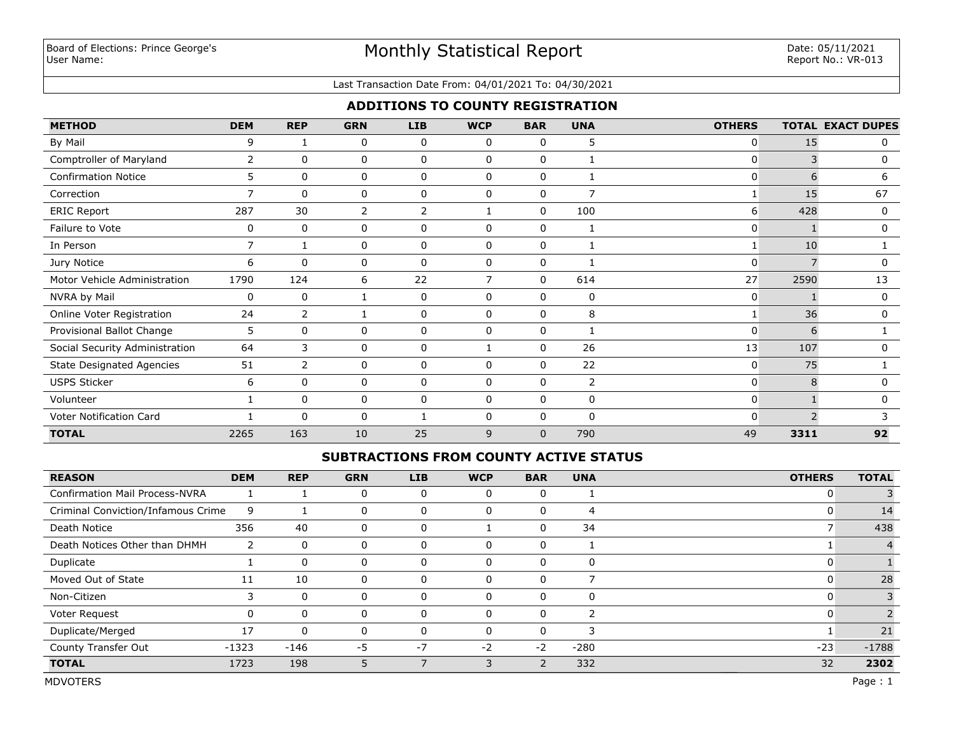#### Last Transaction Date From: 04/01/2021 To: 04/30/2021

## **ADDITIONS TO COUNTY REGISTRATION**

| <b>METHOD</b>                    | <b>DEM</b>     | <b>REP</b>   | <b>GRN</b>  | <b>LIB</b>  | <b>WCP</b>     | <b>BAR</b>   | <b>UNA</b>     | <b>OTHERS</b> |      | <b>TOTAL EXACT DUPES</b> |
|----------------------------------|----------------|--------------|-------------|-------------|----------------|--------------|----------------|---------------|------|--------------------------|
| By Mail                          | 9              |              | 0           | 0           | 0              | 0            | 5              | 0             | 15   | 0                        |
| Comptroller of Maryland          | 2              | 0            | 0           | 0           | 0              | $\mathbf 0$  |                | $\mathbf{0}$  | 3    | 0                        |
| <b>Confirmation Notice</b>       | 5              | 0            | $\mathbf 0$ | 0           | $\mathbf 0$    | $\mathbf 0$  |                | 0             | 6    | 6                        |
| Correction                       | $\overline{7}$ | $\mathbf{0}$ | 0           | 0           | 0              | $\mathbf 0$  | $\overline{7}$ |               | 15   | 67                       |
| ERIC Report                      | 287            | 30           | 2           | 2           |                | $\mathbf 0$  | 100            | 6             | 428  | 0                        |
| Failure to Vote                  | 0              | 0            | 0           | 0           | 0              | 0            |                | 0             |      | 0                        |
| In Person                        | 7              |              | 0           | 0           | 0              | 0            |                |               | 10   |                          |
| Jury Notice                      | 6              | 0            | 0           | 0           | 0              | 0            |                | $\mathbf{0}$  |      |                          |
| Motor Vehicle Administration     | 1790           | 124          | 6           | 22          | $\overline{7}$ | 0            | 614            | 27            | 2590 | 13                       |
| NVRA by Mail                     | 0              | 0            |             | $\mathbf 0$ | $\mathbf{0}$   | 0            | 0              | $\mathbf{0}$  |      | 0                        |
| Online Voter Registration        | 24             | 2            |             | 0           | 0              | 0            | 8              | 1             | 36   | 0                        |
| Provisional Ballot Change        | 5              | $\mathbf{0}$ | 0           | 0           | $\mathbf{0}$   | 0            |                | $\Omega$      | 6    |                          |
| Social Security Administration   | 64             | 3            | 0           | 0           |                | 0            | 26             | 13            | 107  | 0                        |
| <b>State Designated Agencies</b> | 51             | 2            | 0           | 0           | 0              | $\Omega$     | 22             | $\mathbf{0}$  | 75   |                          |
| <b>USPS Sticker</b>              | 6              | $\mathbf{0}$ | 0           | 0           | $\mathbf{0}$   | $\Omega$     | $\overline{2}$ | $\mathbf{0}$  | 8    |                          |
| Volunteer                        |                | $\mathbf{0}$ | 0           | 0           | $\mathbf{0}$   | $\mathbf{0}$ | 0              | 0             |      | $\Omega$                 |
| Voter Notification Card          |                | $\mathbf{0}$ | $\Omega$    |             | $\Omega$       | $\mathbf{0}$ | $\mathbf{0}$   | 0             |      |                          |
| <b>TOTAL</b>                     | 2265           | 163          | 10          | 25          | 9              | $\mathbf 0$  | 790            | 49            | 3311 | 92                       |

### **SUBTRACTIONS FROM COUNTY ACTIVE STATUS**

| <b>REASON</b>                         | <b>DEM</b> | <b>REP</b> | <b>GRN</b> | <b>LIB</b> | <b>WCP</b> | <b>BAR</b> | <b>UNA</b>     | <b>OTHERS</b> | <b>TOTAL</b> |
|---------------------------------------|------------|------------|------------|------------|------------|------------|----------------|---------------|--------------|
| <b>Confirmation Mail Process-NVRA</b> |            |            |            |            | $\Omega$   | 0          |                |               |              |
| Criminal Conviction/Infamous Crime    | 9          |            | 0          |            | 0          | 0          | $\overline{4}$ |               | 14           |
| Death Notice                          | 356        | 40         | 0          | 0          |            | 0          | 34             |               | 438          |
| Death Notices Other than DHMH         |            | $\Omega$   | 0          | O          | 0          | 0          |                |               |              |
| Duplicate                             |            | $\Omega$   |            |            | $\Omega$   | 0          | 0              |               |              |
| Moved Out of State                    | 11         | 10         |            |            | $\Omega$   |            |                |               | 28           |
| Non-Citizen                           |            | $\Omega$   |            |            | $\Omega$   | 0          | 0              |               |              |
| Voter Request                         | 0          | $\Omega$   |            |            | $\Omega$   | 0          | p              |               |              |
| Duplicate/Merged                      | 17         | $\Omega$   |            |            | $\Omega$   | 0          | 3              |               | 21           |
| County Transfer Out                   | $-1323$    | $-146$     | $-5$       | $-7$       | $-2$       | $-2$       | $-280$         | $-23$         | $-1788$      |
| <b>TOTAL</b>                          | 1723       | 198        |            |            | 3          |            | 332            | 32            | 2302         |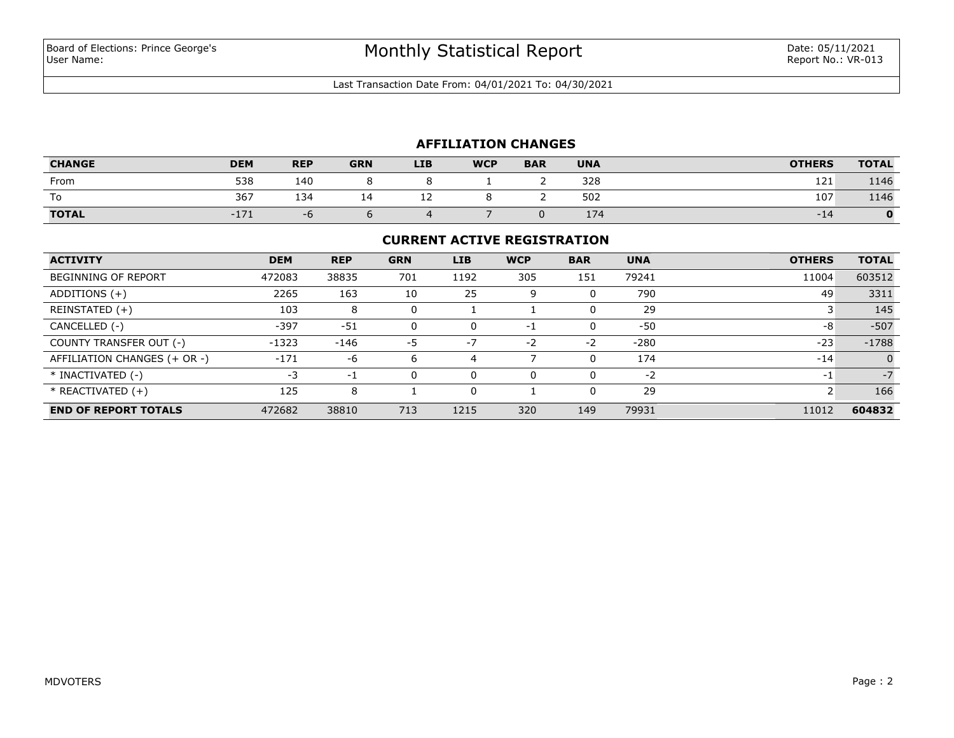Last Transaction Date From: 04/01/2021 To: 04/30/2021

## **AFFILIATION CHANGES**

| <b>CHANGE</b> | <b>DEM</b> | <b>REP</b> | <b>GRN</b> | <b>LIB</b> | <b>WCP</b> | <b>BAR</b> | <b>UNA</b> | <b>OTHERS</b> | <b>TOTAL</b> |
|---------------|------------|------------|------------|------------|------------|------------|------------|---------------|--------------|
| From          | 538        | 140        |            |            |            |            | 328        | 121           | 1146         |
| To            | 367        | 134        | ∸          | --         |            |            | 502        | 107           | 1146         |
| <b>TOTAL</b>  | $-1/$      | - 0        |            |            |            |            | 174        | -14           |              |

#### **CURRENT ACTIVE REGISTRATION**

| <b>ACTIVITY</b>              | <b>DEM</b> | <b>REP</b> | <b>GRN</b> | <b>LIB</b> | <b>WCP</b> | <b>BAR</b> | <b>UNA</b> | <b>OTHERS</b> | <b>TOTAL</b> |
|------------------------------|------------|------------|------------|------------|------------|------------|------------|---------------|--------------|
| <b>BEGINNING OF REPORT</b>   | 472083     | 38835      | 701        | 1192       | 305        | 151        | 79241      | 11004         | 603512       |
| ADDITIONS $(+)$              | 2265       | 163        | 10         | 25         | 9          | 0          | 790        | 49            | 3311         |
| REINSTATED (+)               | 103        | 8          | 0          |            |            | 0          | 29         |               | 145          |
| CANCELLED (-)                | $-397$     | $-51$      | 0          | $\Omega$   | $-1$       | 0          | -50        | -8            | $-507$       |
| COUNTY TRANSFER OUT (-)      | $-1323$    | $-146$     | -5         | $-7$       | $-2$       | $-2$       | $-280$     | $-23$         | $-1788$      |
| AFFILIATION CHANGES (+ OR -) | $-171$     | -6         | 6          | 4          |            | 0          | 174        | $-14$         | $\Omega$     |
| * INACTIVATED (-)            | $-3$       | $-1$       | 0          |            | $\Omega$   | 0          | $-2$       | -1            | $-7$         |
| $*$ REACTIVATED $(+)$        | 125        | 8          |            |            |            | 0          | 29         |               | 166          |
| <b>END OF REPORT TOTALS</b>  | 472682     | 38810      | 713        | 1215       | 320        | 149        | 79931      | 11012         | 604832       |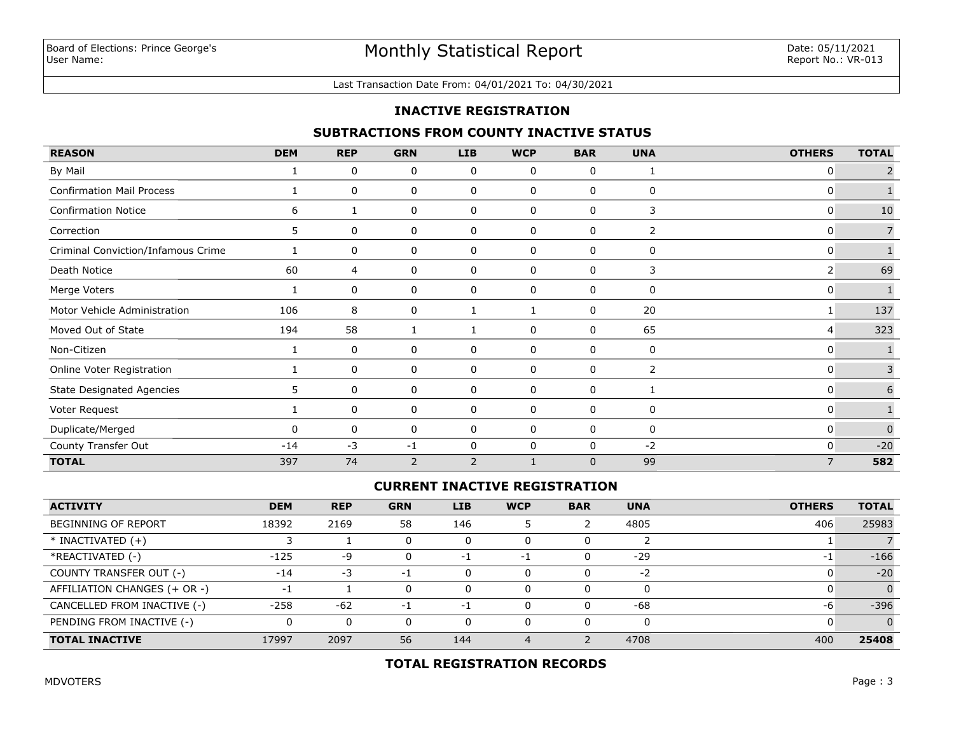#### Last Transaction Date From: 04/01/2021 To: 04/30/2021

### **INACTIVE REGISTRATION**

### **SUBTRACTIONS FROM COUNTY INACTIVE STATUS**

| <b>REASON</b>                      | <b>DEM</b>   | <b>REP</b> | <b>GRN</b>   | <b>LIB</b>     | <b>WCP</b>   | <b>BAR</b>   | <b>UNA</b> | <b>OTHERS</b>  | <b>TOTAL</b>   |
|------------------------------------|--------------|------------|--------------|----------------|--------------|--------------|------------|----------------|----------------|
| By Mail                            |              | 0          | 0            | 0              | 0            | 0            |            | 0              | $\overline{2}$ |
| Confirmation Mail Process          |              | 0          | 0            | 0              | 0            | 0            | 0          | 0              | $\mathbf{1}$   |
| <b>Confirmation Notice</b>         | 6            | 1          | 0            | 0              | 0            | 0            | 3          | 0              | 10             |
| Correction                         | 5            | 0          | 0            | 0              | 0            | 0            | 2          | 0              |                |
| Criminal Conviction/Infamous Crime |              | 0          | 0            | 0              | $\mathbf 0$  | $\mathbf{0}$ | 0          | 0              |                |
| Death Notice                       | 60           | 4          | 0            | 0              | 0            | 0            | 3          | 2              | 69             |
| Merge Voters                       |              | 0          | 0            | 0              | 0            | 0            | 0          | 0              | $\mathbf{1}$   |
| Motor Vehicle Administration       | 106          | 8          | 0            | 1              | 1            | 0            | 20         | 1              | 137            |
| Moved Out of State                 | 194          | 58         | $\mathbf{1}$ |                | 0            | $\mathbf{0}$ | 65         | 4              | 323            |
| Non-Citizen                        |              | 0          | 0            | 0              | 0            | 0            | 0          | 0              |                |
| Online Voter Registration          |              | 0          | 0            | 0              | 0            | 0            | 2          | 0              | 3              |
| <b>State Designated Agencies</b>   | 5.           | 0          | $\mathbf 0$  | $\mathbf 0$    | $\mathbf 0$  | 0            |            | 0              | 6              |
| Voter Request                      |              | 0          | 0            | 0              | 0            | 0            | 0          | 0              |                |
| Duplicate/Merged                   | <sup>0</sup> | 0          | 0            | 0              | 0            | 0            | 0          | 0              | $\Omega$       |
| County Transfer Out                | $-14$        | $-3$       | $-1$         | 0              | $\mathbf 0$  | $\mathbf 0$  | $-2$       | 0              | $-20$          |
| <b>TOTAL</b>                       | 397          | 74         | 2            | $\overline{2}$ | $\mathbf{1}$ | $\mathbf{0}$ | 99         | $\overline{7}$ | 582            |

### **CURRENT INACTIVE REGISTRATION**

| <b>ACTIVITY</b>              | <b>DEM</b>               | <b>REP</b> | <b>GRN</b> | <b>LIB</b> | <b>WCP</b> | <b>BAR</b> | <b>UNA</b> | <b>OTHERS</b> | <b>TOTAL</b>   |
|------------------------------|--------------------------|------------|------------|------------|------------|------------|------------|---------------|----------------|
| <b>BEGINNING OF REPORT</b>   | 18392                    | 2169       | 58         | 146        |            |            | 4805       | 406           | 25983          |
| $*$ INACTIVATED $(+)$        |                          |            |            |            | 0          |            |            |               |                |
| *REACTIVATED (-)             | $-125$                   | -9         |            | $-1$       | $-1$       | 0          | $-29$      | $-1$          | $-166$         |
| COUNTY TRANSFER OUT (-)      | $-14$                    | $-3$       | - 1        |            | 0          | 0          | $-2$       |               | $-20$          |
| AFFILIATION CHANGES (+ OR -) | $\overline{\phantom{a}}$ |            |            |            | 0          | 0          |            |               | $\overline{0}$ |
| CANCELLED FROM INACTIVE (-)  | $-258$                   | $-62$      | - 1        | -1         | 0          | 0          | -68        | -6            | $-396$         |
| PENDING FROM INACTIVE (-)    |                          | 0          |            |            | 0          | 0          | 0          |               | $\Omega$       |
| <b>TOTAL INACTIVE</b>        | 17997                    | 2097       | 56         | 144        |            |            | 4708       | 400           | 25408          |

## **TOTAL REGISTRATION RECORDS**